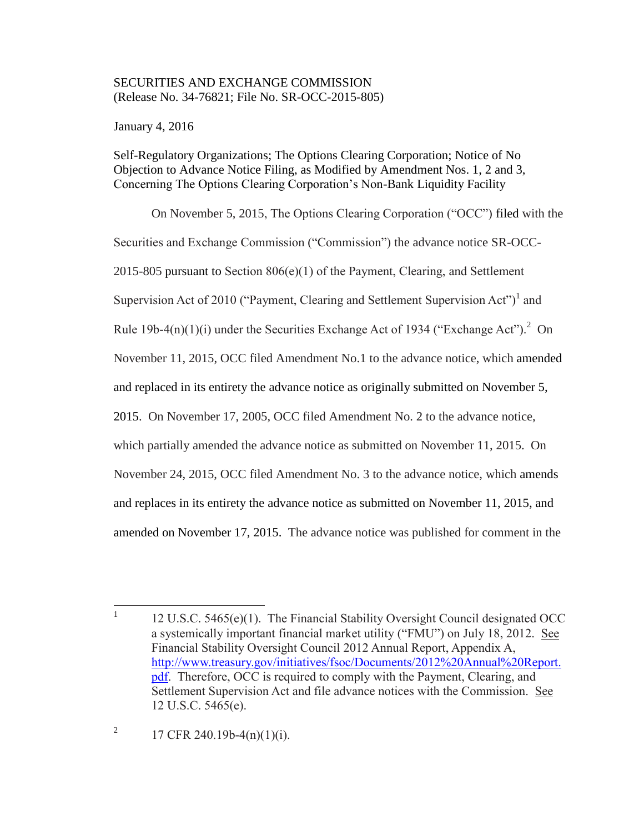# SECURITIES AND EXCHANGE COMMISSION (Release No. 34-76821; File No. SR-OCC-2015-805)

January 4, 2016

Self-Regulatory Organizations; The Options Clearing Corporation; Notice of No Objection to Advance Notice Filing, as Modified by Amendment Nos. 1, 2 and 3, Concerning The Options Clearing Corporation's Non-Bank Liquidity Facility

On November 5, 2015, The Options Clearing Corporation ("OCC") filed with the Securities and Exchange Commission ("Commission") the advance notice SR-OCC-2015-805 pursuant to Section 806(e)(1) of the Payment, Clearing, and Settlement Supervision Act of 2010 ("Payment, Clearing and Settlement Supervision Act")<sup>1</sup> and Rule 19b-4(n)(1)(i) under the Securities Exchange Act of 1934 ("Exchange Act").<sup>2</sup> On November 11, 2015, OCC filed Amendment No.1 to the advance notice, which amended and replaced in its entirety the advance notice as originally submitted on November 5, 2015. On November 17, 2005, OCC filed Amendment No. 2 to the advance notice, which partially amended the advance notice as submitted on November 11, 2015. On November 24, 2015, OCC filed Amendment No. 3 to the advance notice, which amends and replaces in its entirety the advance notice as submitted on November 11, 2015, and amended on November 17, 2015. The advance notice was published for comment in the

2 17 CFR 240.19b-4(n)(1)(i).

 $\frac{1}{1}$ 12 U.S.C. 5465(e)(1). The Financial Stability Oversight Council designated OCC a systemically important financial market utility ("FMU") on July 18, 2012. See Financial Stability Oversight Council 2012 Annual Report, Appendix A, http://www.treasury.gov/initiatives/fsoc/Documents/2012%20Annual%20Report. pdf. Therefore, OCC is required to comply with the Payment, Clearing, and Settlement Supervision Act and file advance notices with the Commission. See 12 U.S.C. 5465(e).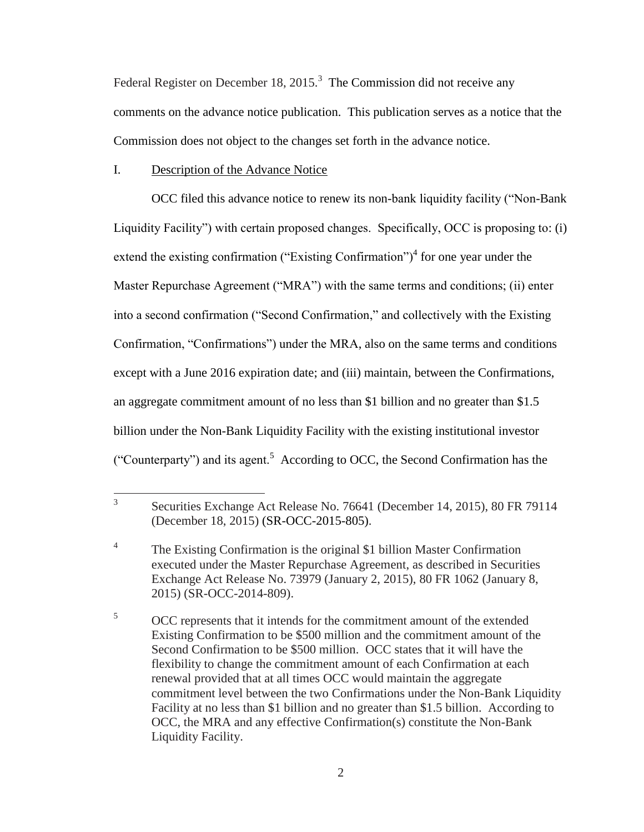Federal Register on December 18, 2015.<sup>3</sup> The Commission did not receive any comments on the advance notice publication. This publication serves as a notice that the Commission does not object to the changes set forth in the advance notice.

## I. Description of the Advance Notice

OCC filed this advance notice to renew its non-bank liquidity facility ("Non-Bank Liquidity Facility") with certain proposed changes. Specifically, OCC is proposing to: (i) extend the existing confirmation ("Existing Confirmation")<sup>4</sup> for one year under the Master Repurchase Agreement ("MRA") with the same terms and conditions; (ii) enter into a second confirmation ("Second Confirmation," and collectively with the Existing Confirmation, "Confirmations") under the MRA, also on the same terms and conditions except with a June 2016 expiration date; and (iii) maintain, between the Confirmations, an aggregate commitment amount of no less than \$1 billion and no greater than \$1.5 billion under the Non-Bank Liquidity Facility with the existing institutional investor ("Counterparty") and its agent.<sup>5</sup> According to OCC, the Second Confirmation has the

 $\frac{1}{3}$ Securities Exchange Act Release No. 76641 (December 14, 2015), 80 FR 79114 (December 18, 2015) (SR-OCC-2015-805).

<sup>4</sup> The Existing Confirmation is the original \$1 billion Master Confirmation executed under the Master Repurchase Agreement, as described in Securities Exchange Act Release No. 73979 (January 2, 2015), 80 FR 1062 (January 8, 2015) (SR-OCC-2014-809).

<sup>&</sup>lt;sup>5</sup> OCC represents that it intends for the commitment amount of the extended Existing Confirmation to be \$500 million and the commitment amount of the Second Confirmation to be \$500 million. OCC states that it will have the flexibility to change the commitment amount of each Confirmation at each renewal provided that at all times OCC would maintain the aggregate commitment level between the two Confirmations under the Non-Bank Liquidity Facility at no less than \$1 billion and no greater than \$1.5 billion. According to OCC, the MRA and any effective Confirmation(s) constitute the Non-Bank Liquidity Facility.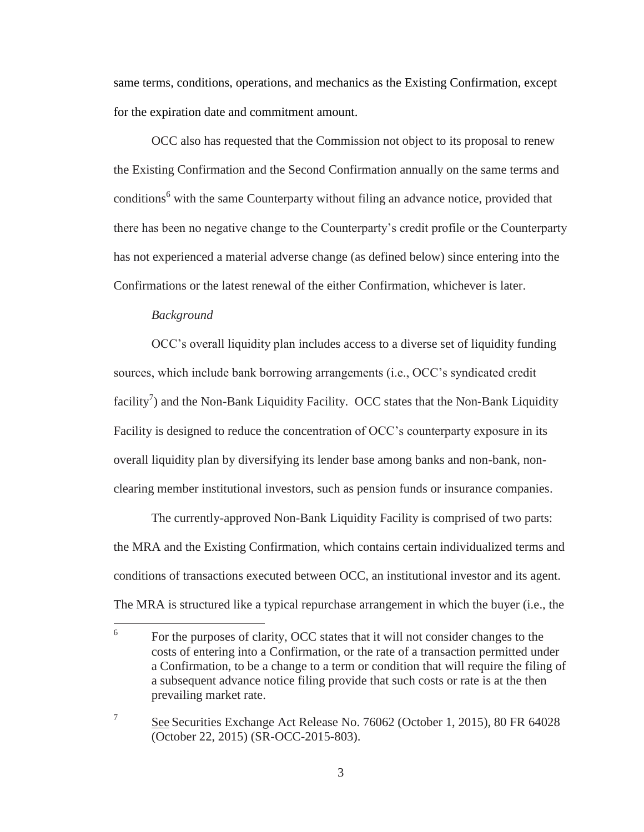same terms, conditions, operations, and mechanics as the Existing Confirmation, except for the expiration date and commitment amount.

OCC also has requested that the Commission not object to its proposal to renew the Existing Confirmation and the Second Confirmation annually on the same terms and conditions<sup>6</sup> with the same Counterparty without filing an advance notice, provided that there has been no negative change to the Counterparty's credit profile or the Counterparty has not experienced a material adverse change (as defined below) since entering into the Confirmations or the latest renewal of the either Confirmation, whichever is later.

#### *Background*

OCC's overall liquidity plan includes access to a diverse set of liquidity funding sources, which include bank borrowing arrangements (i.e., OCC's syndicated credit facility<sup>7</sup>) and the Non-Bank Liquidity Facility. OCC states that the Non-Bank Liquidity Facility is designed to reduce the concentration of OCC's counterparty exposure in its overall liquidity plan by diversifying its lender base among banks and non-bank, nonclearing member institutional investors, such as pension funds or insurance companies.

The currently-approved Non-Bank Liquidity Facility is comprised of two parts: the MRA and the Existing Confirmation, which contains certain individualized terms and conditions of transactions executed between OCC, an institutional investor and its agent. The MRA is structured like a typical repurchase arrangement in which the buyer (i.e., the

 $\frac{1}{6}$ For the purposes of clarity, OCC states that it will not consider changes to the costs of entering into a Confirmation, or the rate of a transaction permitted under a Confirmation, to be a change to a term or condition that will require the filing of a subsequent advance notice filing provide that such costs or rate is at the then prevailing market rate.

<sup>7</sup> See Securities Exchange Act Release No. 76062 (October 1, 2015), 80 FR 64028 (October 22, 2015) (SR-OCC-2015-803).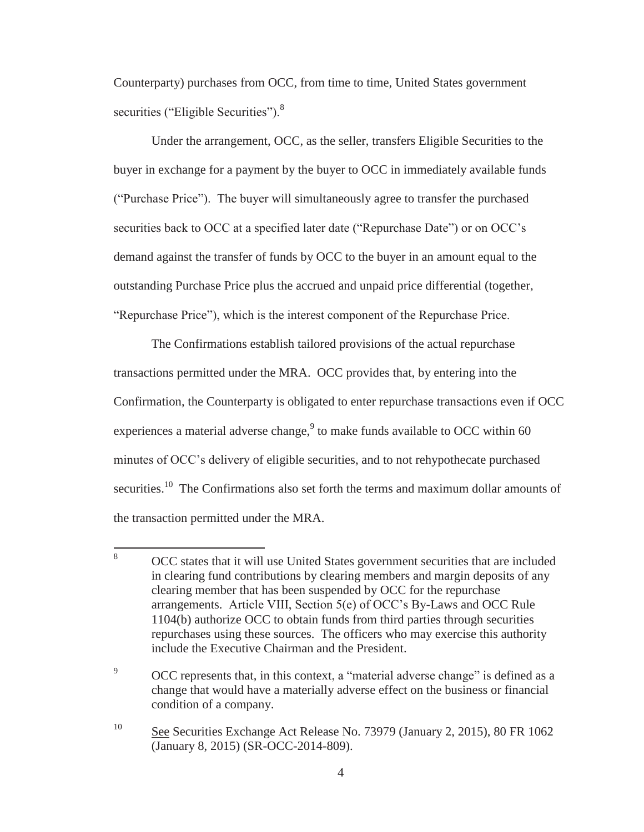Counterparty) purchases from OCC, from time to time, United States government securities ("Eligible Securities").<sup>8</sup>

Under the arrangement, OCC, as the seller, transfers Eligible Securities to the buyer in exchange for a payment by the buyer to OCC in immediately available funds ("Purchase Price"). The buyer will simultaneously agree to transfer the purchased securities back to OCC at a specified later date ("Repurchase Date") or on OCC's demand against the transfer of funds by OCC to the buyer in an amount equal to the outstanding Purchase Price plus the accrued and unpaid price differential (together, "Repurchase Price"), which is the interest component of the Repurchase Price.

The Confirmations establish tailored provisions of the actual repurchase transactions permitted under the MRA. OCC provides that, by entering into the Confirmation, the Counterparty is obligated to enter repurchase transactions even if OCC experiences a material adverse change,  $\degree$  to make funds available to OCC within 60 minutes of OCC's delivery of eligible securities, and to not rehypothecate purchased securities.<sup>10</sup> The Confirmations also set forth the terms and maximum dollar amounts of the transaction permitted under the MRA.

<sup>8</sup> <sup>8</sup> OCC states that it will use United States government securities that are included in clearing fund contributions by clearing members and margin deposits of any clearing member that has been suspended by OCC for the repurchase arrangements. Article VIII, Section 5(e) of OCC's By-Laws and OCC Rule 1104(b) authorize OCC to obtain funds from third parties through securities repurchases using these sources. The officers who may exercise this authority include the Executive Chairman and the President.

<sup>&</sup>lt;sup>9</sup> OCC represents that, in this context, a "material adverse change" is defined as a change that would have a materially adverse effect on the business or financial condition of a company.

<sup>&</sup>lt;sup>10</sup> See Securities Exchange Act Release No. 73979 (January 2, 2015), 80 FR 1062 (January 8, 2015) (SR-OCC-2014-809).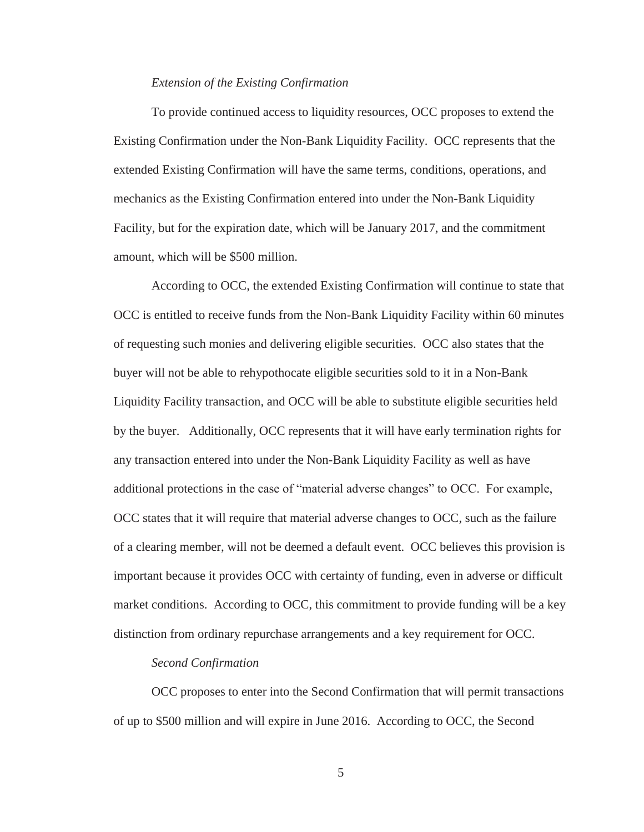#### *Extension of the Existing Confirmation*

To provide continued access to liquidity resources, OCC proposes to extend the Existing Confirmation under the Non-Bank Liquidity Facility. OCC represents that the extended Existing Confirmation will have the same terms, conditions, operations, and mechanics as the Existing Confirmation entered into under the Non-Bank Liquidity Facility, but for the expiration date, which will be January 2017, and the commitment amount, which will be \$500 million.

According to OCC, the extended Existing Confirmation will continue to state that OCC is entitled to receive funds from the Non-Bank Liquidity Facility within 60 minutes of requesting such monies and delivering eligible securities. OCC also states that the buyer will not be able to rehypothocate eligible securities sold to it in a Non-Bank Liquidity Facility transaction, and OCC will be able to substitute eligible securities held by the buyer. Additionally, OCC represents that it will have early termination rights for any transaction entered into under the Non-Bank Liquidity Facility as well as have additional protections in the case of "material adverse changes" to OCC. For example, OCC states that it will require that material adverse changes to OCC, such as the failure of a clearing member, will not be deemed a default event. OCC believes this provision is important because it provides OCC with certainty of funding, even in adverse or difficult market conditions. According to OCC, this commitment to provide funding will be a key distinction from ordinary repurchase arrangements and a key requirement for OCC.

## *Second Confirmation*

OCC proposes to enter into the Second Confirmation that will permit transactions of up to \$500 million and will expire in June 2016. According to OCC, the Second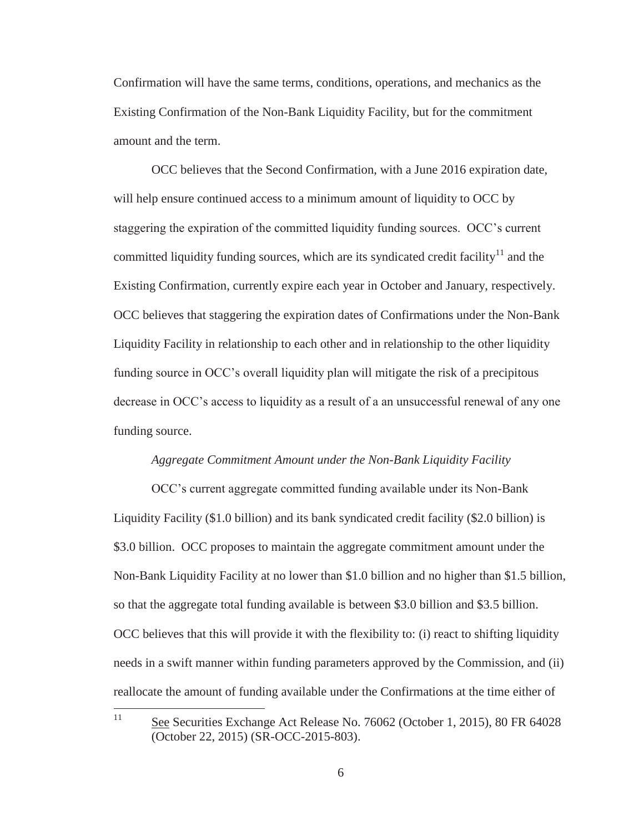Confirmation will have the same terms, conditions, operations, and mechanics as the Existing Confirmation of the Non-Bank Liquidity Facility, but for the commitment amount and the term.

OCC believes that the Second Confirmation, with a June 2016 expiration date, will help ensure continued access to a minimum amount of liquidity to OCC by staggering the expiration of the committed liquidity funding sources. OCC's current committed liquidity funding sources, which are its syndicated credit facility<sup>11</sup> and the Existing Confirmation, currently expire each year in October and January, respectively. OCC believes that staggering the expiration dates of Confirmations under the Non-Bank Liquidity Facility in relationship to each other and in relationship to the other liquidity funding source in OCC's overall liquidity plan will mitigate the risk of a precipitous decrease in OCC's access to liquidity as a result of a an unsuccessful renewal of any one funding source.

#### *Aggregate Commitment Amount under the Non-Bank Liquidity Facility*

OCC's current aggregate committed funding available under its Non-Bank Liquidity Facility (\$1.0 billion) and its bank syndicated credit facility (\$2.0 billion) is \$3.0 billion. OCC proposes to maintain the aggregate commitment amount under the Non-Bank Liquidity Facility at no lower than \$1.0 billion and no higher than \$1.5 billion, so that the aggregate total funding available is between \$3.0 billion and \$3.5 billion. OCC believes that this will provide it with the flexibility to: (i) react to shifting liquidity needs in a swift manner within funding parameters approved by the Commission, and (ii) reallocate the amount of funding available under the Confirmations at the time either of

11

See Securities Exchange Act Release No. 76062 (October 1, 2015), 80 FR 64028 (October 22, 2015) (SR-OCC-2015-803).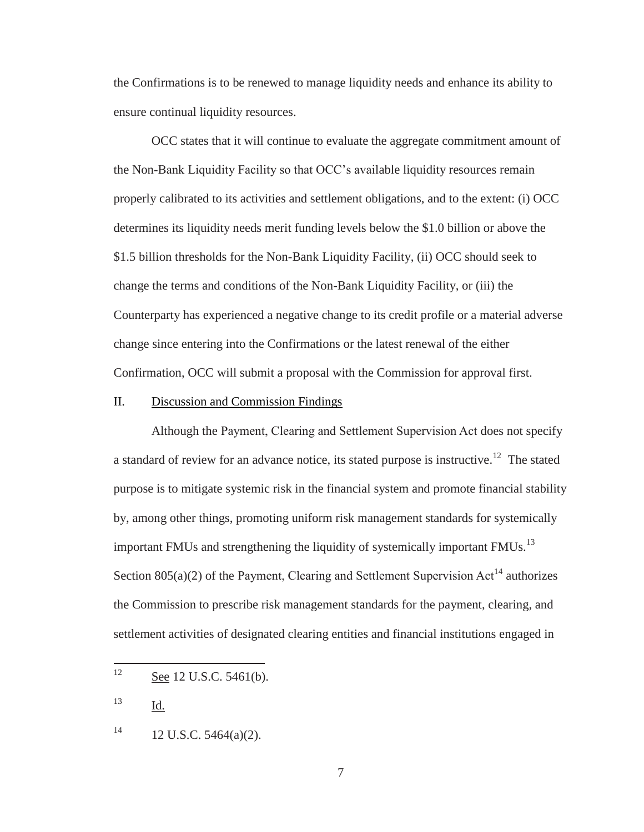the Confirmations is to be renewed to manage liquidity needs and enhance its ability to ensure continual liquidity resources.

OCC states that it will continue to evaluate the aggregate commitment amount of the Non-Bank Liquidity Facility so that OCC's available liquidity resources remain properly calibrated to its activities and settlement obligations, and to the extent: (i) OCC determines its liquidity needs merit funding levels below the \$1.0 billion or above the \$1.5 billion thresholds for the Non-Bank Liquidity Facility, (ii) OCC should seek to change the terms and conditions of the Non-Bank Liquidity Facility, or (iii) the Counterparty has experienced a negative change to its credit profile or a material adverse change since entering into the Confirmations or the latest renewal of the either Confirmation, OCC will submit a proposal with the Commission for approval first.

## II. Discussion and Commission Findings

Although the Payment, Clearing and Settlement Supervision Act does not specify a standard of review for an advance notice, its stated purpose is instructive.<sup>12</sup> The stated purpose is to mitigate systemic risk in the financial system and promote financial stability by, among other things, promoting uniform risk management standards for systemically important FMUs and strengthening the liquidity of systemically important FMUs.<sup>13</sup> Section  $805(a)(2)$  of the Payment, Clearing and Settlement Supervision Act<sup>14</sup> authorizes the Commission to prescribe risk management standards for the payment, clearing, and settlement activities of designated clearing entities and financial institutions engaged in

<sup>13</sup> Id.

<sup>12</sup> See 12 U.S.C. 5461(b).

 $14$  12 U.S.C. 5464(a)(2).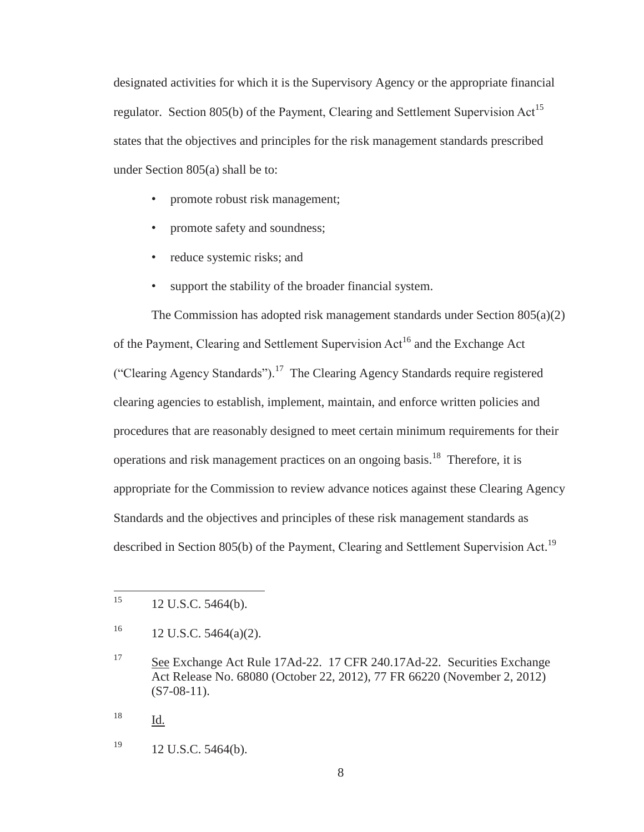designated activities for which it is the Supervisory Agency or the appropriate financial regulator. Section 805(b) of the Payment, Clearing and Settlement Supervision Act<sup>15</sup> states that the objectives and principles for the risk management standards prescribed under Section 805(a) shall be to:

- promote robust risk management;
- promote safety and soundness;
- reduce systemic risks; and
- support the stability of the broader financial system.

The Commission has adopted risk management standards under Section 805(a)(2) of the Payment, Clearing and Settlement Supervision Act<sup>16</sup> and the Exchange Act ("Clearing Agency Standards").<sup>17</sup> The Clearing Agency Standards require registered clearing agencies to establish, implement, maintain, and enforce written policies and procedures that are reasonably designed to meet certain minimum requirements for their operations and risk management practices on an ongoing basis.<sup>18</sup> Therefore, it is appropriate for the Commission to review advance notices against these Clearing Agency Standards and the objectives and principles of these risk management standards as described in Section 805(b) of the Payment, Clearing and Settlement Supervision Act.<sup>19</sup>

 $19$  12 U.S.C. 5464(b).

<sup>15</sup> 12 U.S.C. 5464(b).

 $16$  12 U.S.C. 5464(a)(2).

<sup>17</sup> See Exchange Act Rule 17Ad-22. 17 CFR 240.17Ad-22. Securities Exchange Act Release No. 68080 (October 22, 2012), 77 FR 66220 (November 2, 2012)  $(S7-08-11)$ .

<sup>18</sup> Id.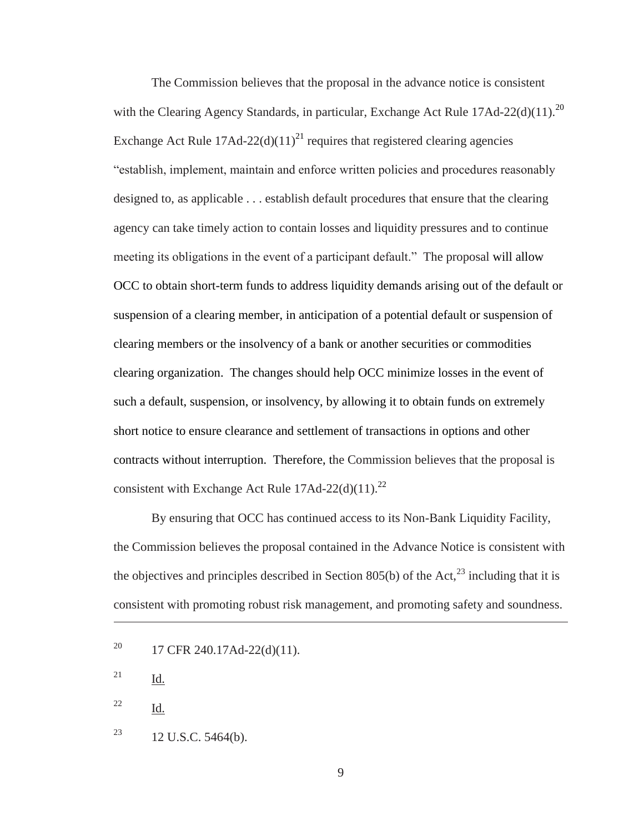The Commission believes that the proposal in the advance notice is consistent with the Clearing Agency Standards, in particular, Exchange Act Rule  $17$ Ad- $22$ (d)(11).<sup>20</sup> Exchange Act Rule  $17\text{Ad}-22\text{(d)}(11)^{21}$  requires that registered clearing agencies "establish, implement, maintain and enforce written policies and procedures reasonably designed to, as applicable . . . establish default procedures that ensure that the clearing agency can take timely action to contain losses and liquidity pressures and to continue meeting its obligations in the event of a participant default." The proposal will allow OCC to obtain short-term funds to address liquidity demands arising out of the default or suspension of a clearing member, in anticipation of a potential default or suspension of clearing members or the insolvency of a bank or another securities or commodities clearing organization. The changes should help OCC minimize losses in the event of such a default, suspension, or insolvency, by allowing it to obtain funds on extremely short notice to ensure clearance and settlement of transactions in options and other contracts without interruption. Therefore, the Commission believes that the proposal is consistent with Exchange Act Rule  $17$ Ad-22(d)(11).<sup>22</sup>

By ensuring that OCC has continued access to its Non-Bank Liquidity Facility, the Commission believes the proposal contained in the Advance Notice is consistent with the objectives and principles described in Section 805(b) of the Act,<sup>23</sup> including that it is consistent with promoting robust risk management, and promoting safety and soundness.

 $\overline{a}$ 

- <sup>22</sup> Id.
- <sup>23</sup> 12 U.S.C. 5464(b).

<sup>&</sup>lt;sup>20</sup> 17 CFR 240.17Ad-22(d)(11).

<sup>21</sup> Id.